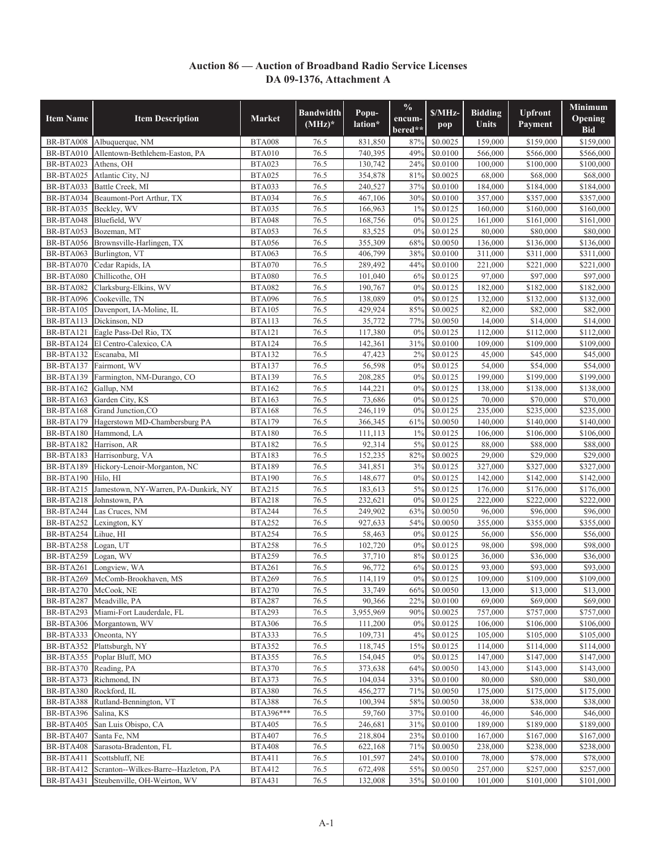## **Auction 86 — Auction of Broadband Radio Service Licenses DA 09-1376, Attachment A**

| <b>Item Name</b>       | <b>Item Description</b>                               | <b>Market</b>                  | <b>Bandwidth</b><br>$(MHz)*$ | Popu-<br>lation*   | $\%$<br>encum-<br>bered** | S/MHz<br>pop         | <b>Bidding</b><br>Units | <b>Upfront</b><br>Payment | Minimum<br>Opening<br><b>Bid</b> |
|------------------------|-------------------------------------------------------|--------------------------------|------------------------------|--------------------|---------------------------|----------------------|-------------------------|---------------------------|----------------------------------|
| BR-BTA008              | Albuquerque, NM                                       | <b>BTA008</b>                  | 76.5                         | 831,850            | 87%                       | \$0.0025             | 159,000                 | \$159,000                 | \$159,000                        |
| BR-BTA010              | Allentown-Bethlehem-Easton, PA                        | BTA010                         | 76.5                         | 740,395            | 49%                       | \$0.0100             | 566,000                 | \$566,000                 | \$566,000                        |
| BR-BTA023              | Athens, OH                                            | <b>BTA023</b>                  | 76.5                         | 130,742            | 24%                       | \$0.0100             | 100,000                 | \$100,000                 | \$100,000                        |
| BR-BTA025              | Atlantic City, NJ                                     | <b>BTA025</b>                  | 76.5                         | 354,878            | 81%                       | \$0.0025             | 68,000                  | \$68,000                  | \$68,000                         |
| BR-BTA033              | Battle Creek, MI                                      | <b>BTA033</b>                  | 76.5                         | 240,527            | 37%                       | \$0.0100             | 184,000                 | \$184,000                 | \$184,000                        |
| BR-BTA034              | Beaumont-Port Arthur, TX                              | <b>BTA034</b>                  | 76.5                         | 467,106            | 30%                       | \$0.0100             | 357,000                 | \$357,000                 | \$357,000                        |
| BR-BTA035              | Beckley, WV                                           | <b>BTA035</b>                  | 76.5                         | 166,963            | 1%                        | \$0.0125             | 160,000                 | \$160,000                 | \$160,000                        |
| BR-BTA048              | Bluefield, WV                                         | <b>BTA048</b>                  | 76.5                         | 168,756            | 0%                        | \$0.0125             | 161,000                 | \$161,000                 | \$161,000                        |
| BR-BTA053              | Bozeman, MT                                           | <b>BTA053</b>                  | 76.5                         | 83,525             | 0%                        | \$0.0125             | 80,000                  | \$80,000                  | \$80,000                         |
| BR-BTA056              | Brownsville-Harlingen, TX                             | <b>BTA056</b>                  | 76.5                         | 355,309            | 68%                       | \$0,0050             | 136,000                 | \$136,000                 | \$136,000                        |
| BR-BTA063              | Burlington, VT                                        | <b>BTA063</b>                  | 76.5                         | 406,799            | 38%                       | \$0.0100             | 311,000                 | \$311,000                 | \$311,000                        |
| BR-BTA070              | Cedar Rapids, IA                                      | <b>BTA070</b>                  | 76.5                         | 289,492            | 44%                       | \$0.0100             | 221,000                 | \$221,000                 | \$221,000                        |
| BR-BTA080              | Chillicothe, OH                                       | <b>BTA080</b>                  | 76.5                         | 101,040            | 6%                        | \$0.0125             | 97,000                  | \$97,000                  | \$97,000                         |
| BR-BTA082              | Clarksburg-Elkins, WV                                 | <b>BTA082</b>                  | 76.5                         | 190,767            | 0%                        | \$0.0125             | 182,000                 | \$182,000                 | \$182,000                        |
| BR-BTA096              | Cookeville, TN                                        | <b>BTA096</b>                  | 76.5                         | 138,089            | 0%                        | \$0.0125             | 132,000                 | \$132,000                 | \$132,000                        |
| BR-BTA105              | Davenport, IA-Moline, IL                              | <b>BTA105</b>                  | 76.5                         | 429,924            | 85%                       | \$0.0025             | 82,000                  | \$82,000                  | \$82,000                         |
| BR-BTA113              | Dickinson, ND                                         | <b>BTA113</b>                  | 76.5                         | 35,772             | 77%                       | \$0.0050             | 14,000                  | \$14,000                  | \$14,000                         |
| BR-BTA121              | Eagle Pass-Del Rio, TX                                | <b>BTA121</b>                  | 76.5                         | 117,380            | 0%                        | \$0.0125             | 112,000                 | \$112,000                 | \$112,000                        |
| BR-BTA124              | El Centro-Calexico, CA                                | <b>BTA124</b>                  | 76.5                         | 142,361            | 31%                       | \$0.0100             | 109,000                 | \$109,000                 | \$109,000                        |
| BR-BTA132              | Escanaba, MI                                          | <b>BTA132</b>                  | 76.5                         | 47,423             | 2%                        | \$0.0125             | 45,000                  | \$45,000                  | \$45,000                         |
| BR-BTA137              | Fairmont, WV                                          | <b>BTA137</b>                  | 76.5                         | 56,598             | 0%                        | \$0.0125             | 54,000                  | \$54,000                  | \$54,000                         |
| BR-BTA139              | Farmington, NM-Durango, CO                            | <b>BTA139</b>                  | 76.5                         | 208,285            | 0%                        | \$0.0125             | 199,000                 | \$199,000                 | \$199,000                        |
| BR-BTA162              | Gallup, NM                                            | <b>BTA162</b>                  | 76.5                         | 144,221            | 0%                        | \$0.0125             | 138,000                 | \$138,000                 | \$138,000                        |
| BR-BTA163              | Garden City, KS                                       | <b>BTA163</b>                  | 76.5                         | 73,686             | 0%                        | \$0.0125             | 70,000                  | \$70,000                  | \$70,000                         |
| BR-BTA168              | Grand Junction, CO                                    | <b>BTA168</b>                  | 76.5                         | 246,119            | 0%                        | \$0.0125             | 235,000                 | \$235,000                 | $\overline{$}235,000$            |
| BR-BTA179              | Hagerstown MD-Chambersburg PA                         | <b>BTA179</b>                  | 76.5                         | 366,345            | 61%                       | \$0.0050             | 140,000                 | $\overline{$}140,000$     | \$140,000                        |
| BR-BTA180              | Hammond, LA                                           | <b>BTA180</b>                  | 76.5                         | 111,113            | $1\%$                     | \$0.0125             | 106,000                 | $\overline{$}106,000$     | \$106,000                        |
| BR-BTA182              | Harrison, AR                                          | <b>BTA182</b>                  | 76.5                         | 92,314             | $5\%$                     | \$0.0125             | 88,000                  | \$88,000                  | \$88,000                         |
| BR-BTA183              | Harrisonburg, VA                                      | <b>BTA183</b>                  | 76.5                         | 152,235            | 82%                       | \$0.0025             | 29,000                  | \$29,000                  | \$29,000                         |
| BR-BTA189              | Hickory-Lenoir-Morganton, NC                          | <b>BTA189</b>                  | 76.5                         | 341,851            | 3%                        | \$0.0125             | 327,000                 | \$327,000                 | \$327,000                        |
| BR-BTA190              | Hilo, HI                                              | <b>BTA190</b>                  | 76.5                         | 148,677            | 0%<br>$5\%$               | \$0.0125             | 142,000                 | \$142,000                 | \$142,000                        |
| BR-BTA215<br>BR-BTA218 | Jamestown, NY-Warren, PA-Dunkirk, NY<br>Johnstown, PA | <b>BTA215</b><br><b>BTA218</b> | 76.5<br>76.5                 | 183,613<br>232,621 | 0%                        | \$0.0125<br>\$0.0125 | 176,000                 | \$176,000<br>\$222,000    | \$176,000                        |
| BR-BTA244              |                                                       | <b>BTA244</b>                  | 76.5                         | 249,902            | 63%                       | \$0.0050             | 222,000<br>96,000       | \$96,000                  | \$222,000<br>\$96,000            |
| BR-BTA252              | Las Cruces, NM                                        | <b>BTA252</b>                  | 76.5                         | 927,633            | 54%                       | \$0.0050             | 355,000                 | \$355,000                 | \$355,000                        |
| BR-BTA254              | Lexington, KY<br>Lihue. HI                            |                                | 76.5                         | 58,463             | 0%                        | \$0.0125             | 56.000                  |                           | \$56,000                         |
| BR-BTA258              | Logan, UT                                             | <b>BTA254</b><br><b>BTA258</b> | 76.5                         | 102,720            | 0%                        | \$0.0125             | 98,000                  | \$56,000<br>\$98,000      | \$98,000                         |
| BR-BTA259              | Logan, WV                                             | <b>BTA259</b>                  | 76.5                         | 37,710             | 8%                        | \$0.0125             | 36,000                  | \$36,000                  | \$36,000                         |
| BR-BTA261              | Longview, WA                                          | <b>BTA261</b>                  | 76.5                         | 96,772             | 6%                        | \$0.0125             | 93,000                  | \$93,000                  | \$93,000                         |
|                        | BR-BTA269 McComb-Brookhaven, MS                       | <b>BTA269</b>                  | 76.5                         | 114,119            | $0\%$                     | \$0.0125             | 109,000                 | \$109,000                 | \$109,000                        |
| BR-BTA270              | McCook, NE                                            | <b>BTA270</b>                  | 76.5                         | 33,749             | 66%                       | \$0.0050             | 13,000                  | \$13,000                  | \$13,000                         |
| BR-BTA287              | Meadville, PA                                         | <b>BTA287</b>                  | 76.5                         | 90,366             | 22%                       | \$0.0100             | 69,000                  | \$69,000                  | \$69,000                         |
| BR-BTA293              | Miami-Fort Lauderdale, FL                             | <b>BTA293</b>                  | 76.5                         | 3,955,969          | 90%                       | \$0.0025             | 757,000                 | \$757,000                 | \$757,000                        |
| BR-BTA306              | Morgantown, WV                                        | <b>BTA306</b>                  | 76.5                         | 111,200            | 0%                        | \$0.0125             | 106,000                 | $\overline{$}106,000$     | \$106,000                        |
| BR-BTA333              | Oneonta, NY                                           | <b>BTA333</b>                  | 76.5                         | 109,731            | 4%                        | \$0.0125             | 105,000                 | \$105,000                 | \$105,000                        |
| BR-BTA352              | Plattsburgh, NY                                       | <b>BTA352</b>                  | 76.5                         | 118,745            | 15%                       | \$0.0125             | 114,000                 | \$114,000                 | \$114,000                        |
| BR-BTA355              | Poplar Bluff, MO                                      | <b>BTA355</b>                  | 76.5                         | 154,045            | 0%                        | \$0.0125             | 147,000                 | \$147,000                 | \$147,000                        |
| BR-BTA370              | Reading, PA                                           | <b>BTA370</b>                  | 76.5                         | 373,638            | 64%                       | \$0.0050             | 143,000                 | \$143,000                 | \$143,000                        |
| BR-BTA373              | Richmond, IN                                          | <b>BTA373</b>                  | 76.5                         | 104,034            | 33%                       | \$0.0100             | 80,000                  | \$80,000                  | \$80,000                         |
| BR-BTA380              | Rockford, IL                                          | <b>BTA380</b>                  | 76.5                         | 456,277            | 71%                       | \$0.0050             | 175,000                 | \$175,000                 | \$175,000                        |
| BR-BTA388              | Rutland-Bennington, VT                                | <b>BTA388</b>                  | 76.5                         | 100,394            | 58%                       | \$0.0050             | 38,000                  | \$38,000                  | \$38,000                         |
| BR-BTA396              | Salina, KS                                            | BTA396***                      | 76.5                         | 59,760             | 37%                       | \$0.0100             | 46,000                  | \$46,000                  | \$46,000                         |
| BR-BTA405              | San Luis Obispo, CA                                   | <b>BTA405</b>                  | 76.5                         | 246,681            | 31%                       | \$0.0100             | 189,000                 | \$189,000                 | \$189,000                        |
| BR-BTA407              | Santa Fe, NM                                          | <b>BTA407</b>                  | 76.5                         | 218,804            | 23%                       | \$0.0100             | 167,000                 | \$167,000                 | \$167,000                        |
| BR-BTA408              | Sarasota-Bradenton, FL                                | <b>BTA408</b>                  | 76.5                         | 622,168            | 71%                       | \$0.0050             | 238,000                 | \$238,000                 | \$238,000                        |
| BR-BTA411              | Scottsbluff, NE                                       | <b>BTA411</b>                  | 76.5                         | 101,597            | 24%                       | \$0.0100             | 78,000                  | \$78,000                  | \$78,000                         |
| BR-BTA412              | Scranton--Wilkes-Barre--Hazleton, PA                  | <b>BTA412</b>                  | 76.5                         | 672,498            | 55%                       | \$0.0050             | 257,000                 | \$257,000                 | \$257,000                        |
| BR-BTA431              | Steubenville, OH-Weirton, WV                          | <b>BTA431</b>                  | 76.5                         | 132,008            | 35%                       | \$0.0100             | 101,000                 | \$101,000                 | \$101,000                        |